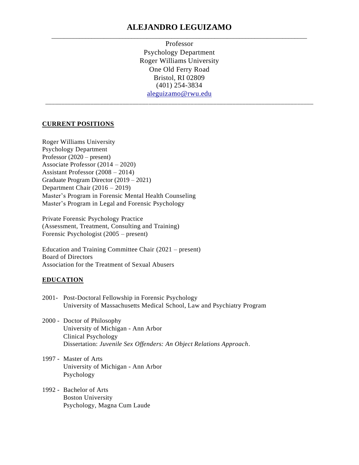# **ALEJANDRO LEGUIZAMO** \_\_\_\_\_\_\_\_\_\_\_\_\_\_\_\_\_\_\_\_\_\_\_\_\_\_\_\_\_\_\_\_\_\_\_\_\_\_\_\_\_\_\_\_\_\_\_\_\_\_\_\_\_\_\_\_\_\_\_\_\_\_\_\_\_\_\_\_\_\_\_\_\_\_\_\_\_\_\_\_\_\_\_

Professor Psychology Department Roger Williams University One Old Ferry Road Bristol, RI 02809 (401) 254-3834 [aleguizamo@rwu.edu](mailto:aleguizamo@rwu.edu) \_\_\_\_\_\_\_\_\_\_\_\_\_\_\_\_\_\_\_\_\_\_\_\_\_\_\_\_\_\_\_\_\_\_\_\_\_\_\_\_\_\_\_\_\_\_\_\_\_\_\_\_\_\_\_\_\_\_\_\_\_\_\_\_\_\_\_\_\_\_\_\_\_\_\_\_\_\_\_\_\_\_\_

#### **CURRENT POSITIONS**

Roger Williams University Psychology Department Professor (2020 – present) Associate Professor (2014 – 2020) Assistant Professor (2008 – 2014) Graduate Program Director (2019 – 2021) Department Chair (2016 – 2019) Master's Program in Forensic Mental Health Counseling Master's Program in Legal and Forensic Psychology

Private Forensic Psychology Practice (Assessment, Treatment, Consulting and Training) Forensic Psychologist (2005 – present)

Education and Training Committee Chair (2021 – present) Board of Directors Association for the Treatment of Sexual Abusers

#### **EDUCATION**

- 2001- Post-Doctoral Fellowship in Forensic Psychology University of Massachusetts Medical School, Law and Psychiatry Program
- 2000 Doctor of Philosophy University of Michigan - Ann Arbor Clinical Psychology Dissertation: *Juvenile Sex Offenders: An Object Relations Approach*.
- 1997 Master of Arts University of Michigan - Ann Arbor Psychology
- 1992 Bachelor of Arts Boston University Psychology, Magna Cum Laude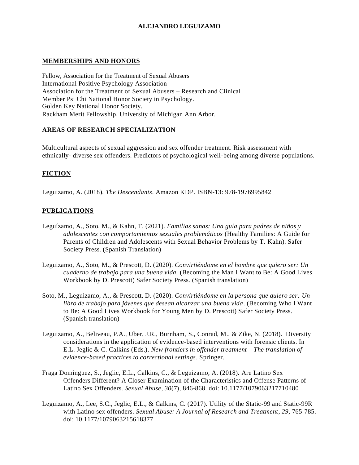## **MEMBERSHIPS AND HONORS**

Fellow, Association for the Treatment of Sexual Abusers International Positive Psychology Association Association for the Treatment of Sexual Abusers – Research and Clinical Member Psi Chi National Honor Society in Psychology. Golden Key National Honor Society. Rackham Merit Fellowship, University of Michigan Ann Arbor.

# **AREAS OF RESEARCH SPECIALIZATION**

Multicultural aspects of sexual aggression and sex offender treatment. Risk assessment with ethnically- diverse sex offenders. Predictors of psychological well-being among diverse populations.

# **FICTION**

Leguizamo, A. (2018). *The Descendants*. Amazon KDP. ISBN-13: 978-1976995842

# **PUBLICATIONS**

- Leguízamo, A., Soto, M., & Kahn, T. (2021). *Familias sanas: Una guía para padres de niños y adolescentes con comportamientos sexuales problemáticos* (Healthy Families: A Guide for Parents of Children and Adolescents with Sexual Behavior Problems by T. Kahn). Safer Society Press. (Spanish Translation)
- Leguizamo, A., Soto, M., & Prescott, D. (2020). *Convirtiéndome en el hombre que quiero ser: Un cuaderno de trabajo para una buena vida.* (Becoming the Man I Want to Be: A Good Lives Workbook by D. Prescott) Safer Society Press. (Spanish translation)
- Soto, M., Leguizamo, A., & Prescott, D. (2020). *Convirtiéndome en la persona que quiero ser: Un*  libro de trabajo para jóvenes que desean alcanzar una buena vida. (Becoming Who I Want to Be: A Good Lives Workbook for Young Men by D. Prescott) Safer Society Press. (Spanish translation)
- Leguizamo, A., Beliveau, P.A., Uber, J.R., Burnham, S., Conrad, M., & Zike, N. (2018). Diversity considerations in the application of evidence-based interventions with forensic clients. In E.L. Jeglic & C. Calkins (Eds.). *New frontiers in offender treatment – The translation of evidence-based practices to correctional settings*. Springer.
- Fraga Dominguez, S., Jeglic, E.L., Calkins, C., & Leguizamo, A. (2018). Are Latino Sex Offenders Different? A Closer Examination of the Characteristics and Offense Patterns of Latino Sex Offenders. *Sexual Abuse, 30*(7)*,* 846-868. doi: 10.1177/1079063217710480
- Leguizamo, A., Lee, S.C., Jeglic, E.L., & Calkins, C. (2017). Utility of the Static-99 and Static-99R with Latino sex offenders. *Sexual Abuse: A Journal of Research and Treatment*, *29*, 765-785. doi: 10.1177/1079063215618377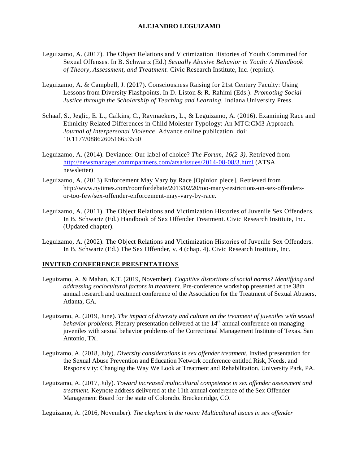- Leguizamo, A. (2017). The Object Relations and Victimization Histories of Youth Committed for Sexual Offenses. In B. Schwartz (Ed.) *Sexually Abusive Behavior in Youth: A Handbook of Theory, Assessment, and Treatment.* Civic Research Institute, Inc. (reprint).
- Leguizamo, A. & Campbell, J. (2017). Consciousness Raising for 21st Century Faculty: Using Lessons from Diversity Flashpoints. In D. Liston & R. Rahimi (Eds.). *Promoting Social Justice through the Scholarship of Teaching and Learning.* Indiana University Press.
- Schaaf, S., Jeglic, E. L., Calkins, C., Raymaekers, L., & Leguizamo, A. (2016). Examining Race and Ethnicity Related Differences in Child Molester Typology: An MTC:CM3 Approach. *Journal of Interpersonal Violence*. Advance online publication. doi: 10.1177/0886260516653550
- Leguizamo, A. (2014). Deviance: Our label of choice? *The Forum, 16(2-3).* Retrieved from <http://newsmanager.commpartners.com/atsa/issues/2014-08-08/3.html> (ATSA newsletter)
- Leguizamo, A. (2013) Enforcement May Vary by Race [Opinion piece]. Retrieved from [http://www.nytimes.com/roomfordebate/2013/02/20/too-many-restrictions-on-sex-offenders](http://www.nytimes.com/roomfordebate/2013/02/20/too-many-restrictions-on-sex-offenders-or-)[or-t](http://www.nytimes.com/roomfordebate/2013/02/20/too-many-restrictions-on-sex-offenders-or-)oo-few/sex-offender-enforcement-may-vary-by-race.
- Leguizamo, A. (2011). The Object Relations and Victimization Histories of Juvenile Sex Offende rs. In B. Schwartz (Ed.) Handbook of Sex Offender Treatment. Civic Research Institute, Inc. (Updated chapter).
- Leguizamo, A. (2002). The Object Relations and Victimization Histories of Juvenile Sex Offenders. In B. Schwartz (Ed.) The Sex Offender, v. 4 (chap. 4). Civic Research Institute, Inc.

### **INVITED CONFERENCE PRESENTATIONS**

- Leguizamo, A. & Mahan, K.T. (2019, November). *Cognitive distortions of social norms? Identifying and addressing sociocultural factors in treatment.* Pre-conference workshop presented at the 38th annual research and treatment conference of the Association for the Treatment of Sexual Abusers, Atlanta, GA.
- Leguizamo, A. (2019, June). *The impact of diversity and culture on the treatment of juveniles with sexual behavior problems.* Plenary presentation delivered at the 14<sup>th</sup> annual conference on managing juveniles with sexual behavior problems of the Correctional Management Institute of Texas. San Antonio, TX.
- Leguizamo, A. (2018, July). *Diversity considerations in sex offender treatment.* Invited presentation for the Sexual Abuse Prevention and Education Network conference entitled Risk, Needs, and Responsivity: Changing the Way We Look at Treatment and Rehabilitation. University Park, PA.
- Leguizamo, A. (2017, July). *Toward increased multicultural competence in sex offender assessment and treatment.* Keynote address delivered at the 11th annual conference of the Sex Offender Management Board for the state of Colorado. Breckenridge, CO.

Leguizamo, A. (2016, November). *The elephant in the room: Multicultural issues in sex offender*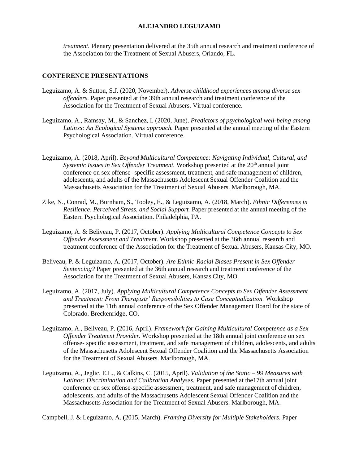*treatment.* Plenary presentation delivered at the 35th annual research and treatment conference of the Association for the Treatment of Sexual Abusers, Orlando, FL.

## **CONFERENCE PRESENTATIONS**

- Leguizamo, A. & Sutton, S.J. (2020, November). *Adverse childhood experiences among diverse sex offenders.* Paper presented at the 39th annual research and treatment conference of the Association for the Treatment of Sexual Abusers. Virtual conference.
- Leguizamo, A., Ramsay, M., & Sanchez, I. (2020, June). *Predictors of psychological well-being among Latinxs: An Ecological Systems approach.* Paper presented at the annual meeting of the Eastern Psychological Association. Virtual conference.
- Leguizamo, A. (2018, April). *Beyond Multicultural Competence: Navigating Individual, Cultural, and Systemic Issues in Sex Offender Treatment.* Workshop presented at the 20<sup>th</sup> annual joint conference on sex offense- specific assessment, treatment, and safe management of children, adolescents, and adults of the Massachusetts Adolescent Sexual Offender Coalition and the Massachusetts Association for the Treatment of Sexual Abusers. Marlborough, MA.
- Zike, N., Conrad, M., Burnham, S., Tooley, E., & Leguizamo, A. (2018, March). *Ethnic Differences in Resilience, Perceived Stress, and Social Support.* Paper presented at the annual meeting of the Eastern Psychological Association. Philadelphia, PA.
- Leguizamo, A. & Beliveau, P. (2017, October). *Applying Multicultural Competence Concepts to Sex Offender Assessment and Treatment.* Workshop presented at the 36th annual research and treatment conference of the Association for the Treatment of Sexual Abusers, Kansas City, MO.
- Beliveau, P. & Leguizamo, A. (2017, October). *Are Ethnic-Racial Biases Present in Sex Offender Sentencing?* Paper presented at the 36th annual research and treatment conference of the Association for the Treatment of Sexual Abusers, Kansas City, MO.
- Leguizamo, A. (2017, July). *Applying Multicultural Competence Concepts to Sex Offender Assessment and Treatment: From Therapists' Responsibilities to Case Conceptualization.* Workshop presented at the 11th annual conference of the Sex Offender Management Board for the state of Colorado. Breckenridge, CO.
- Leguizamo, A., Beliveau, P. (2016, April). *Framework for Gaining Multicultural Competence as a Sex Offender Treatment Provider.* Workshop presented at the 18th annual joint conference on sex offense- specific assessment, treatment, and safe management of children, adolescents, and adults of the Massachusetts Adolescent Sexual Offender Coalition and the Massachusetts Association for the Treatment of Sexual Abusers. Marlborough, MA.
- Leguizamo, A., Jeglic, E.L., & Calkins, C. (2015, April). *Validation of the Static – 99 Measures with Latinos: Discrimination and Calibration Analyses.* Paper presented at the17th annual joint conference on sex offense-specific assessment, treatment, and safe management of children, adolescents, and adults of the Massachusetts Adolescent Sexual Offender Coalition and the Massachusetts Association for the Treatment of Sexual Abusers. Marlborough, MA.

Campbell, J. & Leguizamo, A. (2015, March). *Framing Diversity for Multiple Stakeholders*. Paper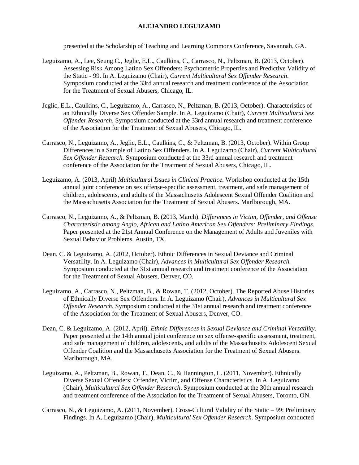presented at the Scholarship of Teaching and Learning Commons Conference, Savannah, GA.

- Leguizamo, A., Lee, Seung C., Jeglic, E.L., Caulkins, C., Carrasco, N., Peltzman, B. (2013, October). Assessing Risk Among Latino Sex Offenders: Psychometric Properties and Predictive Validity of the Static - 99. In A. Leguizamo (Chair), *Current Multicultural Sex Offender Research*. Symposium conducted at the 33rd annual research and treatment conference of the Association for the Treatment of Sexual Abusers, Chicago, IL.
- Jeglic, E.L., Caulkins, C., Leguizamo, A., Carrasco, N., Peltzman, B. (2013, October). Characteristics of an Ethnically Diverse Sex Offender Sample. In A. Leguizamo (Chair), *Current Multicultural Sex Offender Research*. Symposium conducted at the 33rd annual research and treatment conference of the Association for the Treatment of Sexual Abusers, Chicago, IL.
- Carrasco, N., Leguizamo, A., Jeglic, E.L., Caulkins, C., & Peltzman, B. (2013, October). Within Group Differences in a Sample of Latino Sex Offenders. In A. Leguizamo (Chair), *Current Multicultural Sex Offender Research.* Symposium conducted at the 33rd annual research and treatment conference of the Association for the Treatment of Sexual Abusers, Chicago, IL.
- Leguizamo, A. (2013, April) *Multicultural Issues in Clinical Practice.* Workshop conducted at the 15th annual joint conference on sex offense-specific assessment, treatment, and safe management of children, adolescents, and adults of the Massachusetts Adolescent Sexual Offender Coalition and the Massachusetts Association for the Treatment of Sexual Abusers. Marlborough, MA.
- Carrasco, N., Leguizamo, A., & Peltzman, B. (2013, March). *Differences in Victim, Offender, and Offense Characteristic among Anglo, African and Latino American Sex Offenders: Preliminary Findings.*  Paper presented at the 21st Annual Conference on the Management of Adults and Juveniles with Sexual Behavior Problems. Austin, TX.
- Dean, C. & Leguizamo, A. (2012, October). Ethnic Differences in Sexual Deviance and Criminal Versatility. In A. Leguizamo (Chair), *Advances in Multicultural Sex Offender Research.*  Symposium conducted at the 31st annual research and treatment conference of the Association for the Treatment of Sexual Abusers, Denver, CO.
- Leguizamo, A., Carrasco, N., Peltzman, B., & Rowan, T. (2012, October). The Reported Abuse Histories of Ethnically Diverse Sex Offenders. In A. Leguizamo (Chair), *Advances in Multicultural Sex Offender Research.* Symposium conducted at the 31st annual research and treatment conference of the Association for the Treatment of Sexual Abusers, Denver, CO.
- Dean, C. & Leguizamo, A. (2012, April). *Ethnic Differences in Sexual Deviance and Criminal Versatility.*  Paper presented at the 14th annual joint conference on sex offense-specific assessment, treatment, and safe management of children, adolescents, and adults of the Massachusetts Adolescent Sexual Offender Coalition and the Massachusetts Association for the Treatment of Sexual Abusers. Marlborough, MA.
- Leguizamo, A., Peltzman, B., Rowan, T., Dean, C., & Hannington, L. (2011, November). Ethnically Diverse Sexual Offenders: Offender, Victim, and Offense Characteristics. In A. Leguizamo (Chair), *Multicultural Sex Offender Research*. Symposium conducted at the 30th annual research and treatment conference of the Association for the Treatment of Sexual Abusers, Toronto, ON.
- Carrasco, N., & Leguizamo, A. (2011, November). Cross-Cultural Validity of the Static 99: Preliminary Findings. In A. Leguizamo (Chair), *Multicultural Sex Offender Research.* Symposium conducted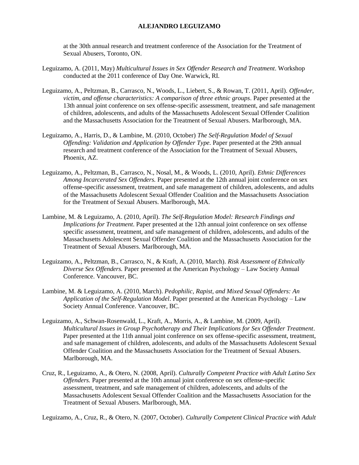at the 30th annual research and treatment conference of the Association for the Treatment of Sexual Abusers, Toronto, ON.

- Leguizamo, A. (2011, May) *Multicultural Issues in Sex Offender Research and Treatment*. Workshop conducted at the 2011 conference of Day One. Warwick, RI.
- Leguizamo, A., Peltzman, B., Carrasco, N., Woods, L., Liebert, S., & Rowan, T. (2011, April). *Offender, victim, and offense characteristics: A comparison of three ethnic groups*. Paper presented at the 13th annual joint conference on sex offense-specific assessment, treatment, and safe management of children, adolescents, and adults of the Massachusetts Adolescent Sexual Offender Coalition and the Massachusetts Association for the Treatment of Sexual Abusers. Marlborough, MA.
- Leguizamo, A., Harris, D., & Lambine, M. (2010, October) *The Self-Regulation Model of Sexual Offending: Validation and Application by Offender Type.* Paper presented at the 29th annual research and treatment conference of the Association for the Treatment of Sexual Abusers, Phoenix, AZ.
- Leguizamo, A., Peltzman, B., Carrasco, N., Nosal, M., & Woods, L. (2010, April). *Ethnic Differences Among Incarcerated Sex Offenders.* Paper presented at the 12th annual joint conference on sex offense-specific assessment, treatment, and safe management of children, adolescents, and adults of the Massachusetts Adolescent Sexual Offender Coalition and the Massachusetts Association for the Treatment of Sexual Abusers. Marlborough, MA.
- Lambine, M. & Leguizamo, A. (2010, April). *The Self-Regulation Model: Research Findings and Implications for Treatment*. Paper presented at the 12th annual joint conference on sex offense specific assessment, treatment, and safe management of children, adolescents, and adults of the Massachusetts Adolescent Sexual Offender Coalition and the Massachusetts Association for the Treatment of Sexual Abusers. Marlborough, MA.
- Leguizamo, A., Peltzman, B., Carrasco, N., & Kraft, A. (2010, March). *Risk Assessment of Ethnically Diverse Sex Offenders.* Paper presented at the American Psychology – Law Society Annual Conference. Vancouver, BC.
- Lambine, M. & Leguizamo, A. (2010, March). *Pedophilic, Rapist, and Mixed Sexual Offenders: An Application of the Self-Regulation Model*. Paper presented at the American Psychology – Law Society Annual Conference. Vancouver, BC.
- Leguizamo, A., Schwan-Rosenwald, L., Kraft, A., Morris, A., & Lambine, M. (2009, April). *Multicultural Issues in Group Psychotherapy and Their Implications for Sex Offender Treatment*. Paper presented at the 11th annual joint conference on sex offense-specific assessment, treatment, and safe management of children, adolescents, and adults of the Massachusetts Adolescent Sexual Offender Coalition and the Massachusetts Association for the Treatment of Sexual Abusers. Marlborough, MA.
- Cruz, R., Leguizamo, A., & Otero, N. (2008, April). *Culturally Competent Practice with Adult Latino Sex Offenders.* Paper presented at the 10th annual joint conference on sex offense-specific assessment, treatment, and safe management of children, adolescents, and adults of the Massachusetts Adolescent Sexual Offender Coalition and the Massachusetts Association for the Treatment of Sexual Abusers. Marlborough, MA.

Leguizamo, A., Cruz, R., & Otero, N. (2007, October). *Culturally Competent Clinical Practice with Adult*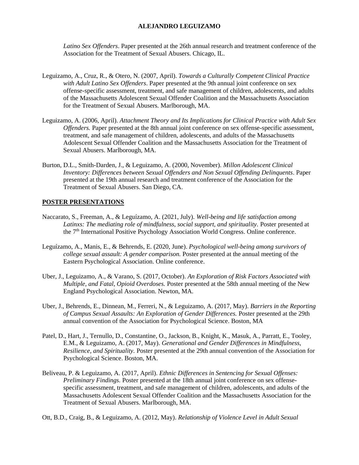*Latino Sex Offenders*. Paper presented at the 26th annual research and treatment conference of the Association for the Treatment of Sexual Abusers. Chicago, IL.

- Leguizamo, A., Cruz, R., & Otero, N. (2007, April). *Towards a Culturally Competent Clinical Practice with Adult Latino Sex Offenders*. Paper presented at the 9th annual joint conference on sex offense-specific assessment, treatment, and safe management of children, adolescents, and adults of the Massachusetts Adolescent Sexual Offender Coalition and the Massachusetts Association for the Treatment of Sexual Abusers. Marlborough, MA.
- Leguizamo, A. (2006, April). *Attachment Theory and Its Implications for Clinical Practice with Adult Sex Offenders.* Paper presented at the 8th annual joint conference on sex offense-specific assessment, treatment, and safe management of children, adolescents, and adults of the Massachusetts Adolescent Sexual Offender Coalition and the Massachusetts Association for the Treatment of Sexual Abusers. Marlborough, MA.
- Burton, D.L., Smith-Darden, J., & Leguizamo, A. (2000, November). *Millon Adolescent Clinical Inventory: Differences between Sexual Offenders and Non Sexual Offending Delinquents*. Paper presented at the 19th annual research and treatment conference of the Association for the Treatment of Sexual Abusers. San Diego, CA.

#### **POSTER PRESENTATIONS**

- Naccarato, S., Freeman, A., & Leguízamo, A. (2021, July). *Well-being and life satisfaction among Latinxs: The mediating role of mindfulness, social support, and spirituality.* Poster presented at the 7th International Positive Psychology Association World Congress. Online conference.
- Leguízamo, A., Manis, E., & Behrends, E. (2020, June). *Psychological well-being among survivors of college sexual assault: A gender comparison.* Poster presented at the annual meeting of the Eastern Psychological Association. Online conference.
- Uber, J., Leguizamo, A., & Varano, S. (2017, October). *An Exploration of Risk Factors Associated with Multiple, and Fatal, Opioid Overdoses.* Poster presented at the 58th annual meeting of the New England Psychological Association. Newton, MA.
- Uber, J., Behrends, E., Dinnean, M., Ferreri, N., & Leguizamo, A. (2017, May). *Barriers in the Reporting of Campus Sexual Assaults: An Exploration of Gender Differences.* Poster presented at the 29th annual convention of the Association for Psychological Science. Boston, MA
- Patel, D., Hart, J., Ternullo, D., Constantine, O., Jackson, B., Knight, K., Masuk, A., Parratt, E., Tooley, E.M., & Leguizamo, A. (2017, May). *Generational and Gender Differences in Mindfulness, Resilience, and Spirituality.* Poster presented at the 29th annual convention of the Association for Psychological Science. Boston, MA.
- Beliveau, P. & Leguizamo, A. (2017, April). *Ethnic Differences in Sentencing for Sexual Offenses: Preliminary Findings.* Poster presented at the 18th annual joint conference on sex offensespecific assessment, treatment, and safe management of children, adolescents, and adults of the Massachusetts Adolescent Sexual Offender Coalition and the Massachusetts Association for the Treatment of Sexual Abusers. Marlborough, MA.
- Ott, B.D., Craig, B., & Leguizamo, A. (2012, May). *Relationship of Violence Level in Adult Sexual*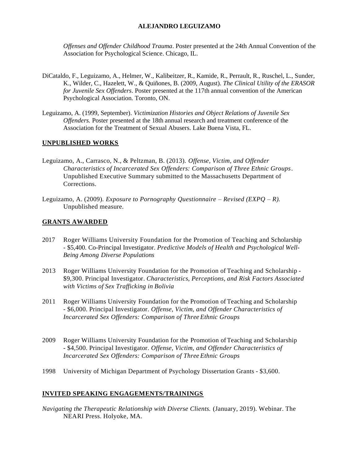*Offenses and Offender Childhood Trauma*. Poster presented at the 24th Annual Convention of the Association for Psychological Science. Chicago, IL.

- DiCataldo, F., Leguizamo, A., Helmer, W., Kalibeitzer, R., Kamide, R., Perrault, R., Ruschel, L., Sunder, K., Wilder, C., Hazelett, W., & Quiñones, B. (2009, August). *The Clinical Utility of the ERASOR for Juvenile Sex Offenders*. Poster presented at the 117th annual convention of the American Psychological Association. Toronto, ON.
- Leguizamo, A. (1999, September). *Victimization Histories and Object Relations of Juvenile Sex Offenders.* Poster presented at the 18th annual research and treatment conference of the Association for the Treatment of Sexual Abusers. Lake Buena Vista, FL.

#### **UNPUBLISHED WORKS**

- Leguizamo, A., Carrasco, N., & Peltzman, B. (2013). *Offense, Victim, and Offender Characteristics of Incarcerated Sex Offenders: Comparison of Three Ethnic Groups*. Unpublished Executive Summary submitted to the Massachusetts Department of Corrections.
- Leguizamo, A. (2009). *Exposure to Pornography Questionnaire – Revised (EXPQ – R).*  Unpublished measure.

#### **GRANTS AWARDED**

- 2017 Roger Williams University Foundation for the Promotion of Teaching and Scholarship - \$5,400. Co-Principal Investigator. *Predictive Models of Health and Psychological Well-Being Among Diverse Populations*
- 2013 Roger Williams University Foundation for the Promotion of Teaching and Scholarship \$9,300. Principal Investigator. *Characteristics, Perceptions, and Risk Factors Associated with Victims of Sex Trafficking in Bolivia*
- 2011 Roger Williams University Foundation for the Promotion of Teaching and Scholarship - \$6,000. Principal Investigator. *Offense, Victim, and Offender Characteristics of Incarcerated Sex Offenders: Comparison of Three Ethnic Groups*
- 2009 Roger Williams University Foundation for the Promotion of Teaching and Scholarship - \$4,500. Principal Investigator. *Offense, Victim, and Offender Characteristics of Incarcerated Sex Offenders: Comparison of Three Ethnic Groups*
- 1998 University of Michigan Department of Psychology Dissertation Grants \$3,600.

#### **INVITED SPEAKING ENGAGEMENTS/TRAININGS**

*Navigating the Therapeutic Relationship with Diverse Clients.* (January, 2019). Webinar. The NEARI Press. Holyoke, MA.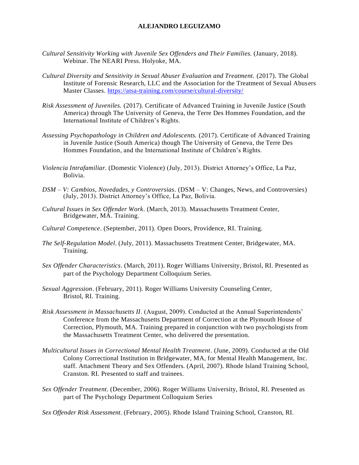- *Cultural Sensitivity Working with Juvenile Sex Offenders and Their Families.* (January, 2018). Webinar. The NEARI Press. Holyoke, MA.
- *Cultural Diversity and Sensitivity in Sexual Abuser Evaluation and Treatment.* (2017). The Global Institute of Forensic Research, LLC and the Association for the Treatment of Sexual Abusers Master Classes.<https://atsa-training.com/course/cultural-diversity/>
- *Risk Assessment of Juveniles.* (2017). Certificate of Advanced Training in Juvenile Justice (South America) through The University of Geneva, the Terre Des Hommes Foundation, and the International Institute of Children's Rights.
- *Assessing Psychopathology in Children and Adolescents.* (2017). Certificate of Advanced Training in Juvenile Justice (South America) though The University of Geneva, the Terre Des Hommes Foundation, and the International Institute of Children's Rights.
- *Violencia Intrafamiliar.* (Domestic Violence) (July, 2013). District Attorney's Office, La Paz, Bolivia.
- *DSM – V: Cambios, Novedades, y Controversias.* (DSM V: Changes, News, and Controversies) (July, 2013). District Attorney's Office, La Paz, Bolivia.
- *Cultural Issues in Sex Offender Work.* (March, 2013). Massachusetts Treatment Center, Bridgewater, MA. Training.
- *Cultural Competence.* (September, 2011). Open Doors, Providence, RI. Training.
- *The Self-Regulation Model*. (July, 2011). Massachusetts Treatment Center, Bridgewater, MA. Training.
- *Sex Offender Characteristics*. (March, 2011). Roger Williams University, Bristol, RI. Presented as part of the Psychology Department Colloquium Series.
- *Sexual Aggression*. (February, 2011). Roger Williams University Counseling Center, Bristol, RI. Training.
- *Risk Assessment in Massachusetts II*. (August, 2009). Conducted at the Annual Superintendents' Conference from the Massachusetts Department of Correction at the Plymouth House of Correction, Plymouth, MA. Training prepared in conjunction with two psychologists from the Massachusetts Treatment Center, who delivered the presentation.
- *Multicultural Issues in Correctional Mental Health Treatment*. (June, 2009). Conducted at the Old Colony Correctional Institution in Bridgewater, MA, for Mental Health Management, Inc. staff. Attachment Theory and Sex Offenders. (April, 2007). Rhode Island Training School, Cranston. RI. Presented to staff and trainees.
- *Sex Offender Treatment.* (December, 2006). Roger Williams University, Bristol, RI. Presented as part of The Psychology Department Colloquium Series

*Sex Offender Risk Assessment*. (February, 2005). Rhode Island Training School, Cranston, RI.